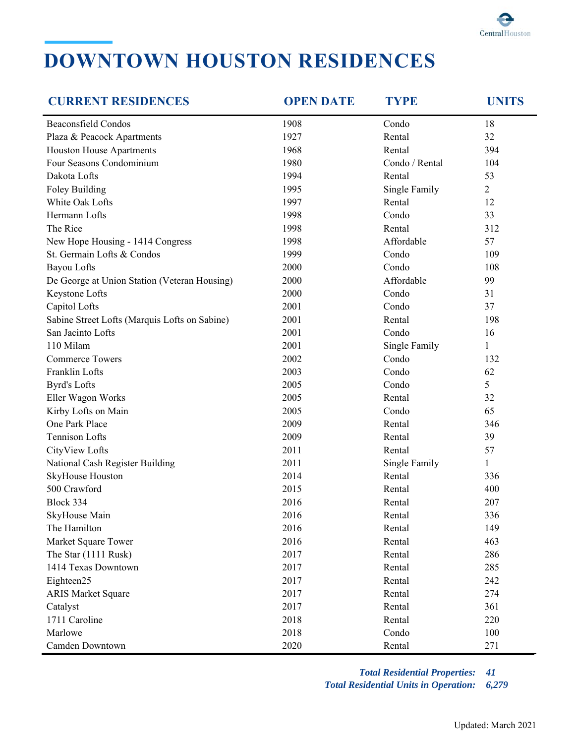

## **DOWNTOWN HOUSTON RESIDENCES**

| <b>CURRENT RESIDENCES</b>                     | <b>OPEN DATE</b> | <b>TYPE</b>    | <b>UNITS</b>   |
|-----------------------------------------------|------------------|----------------|----------------|
| <b>Beaconsfield Condos</b>                    | 1908             | Condo          | 18             |
| Plaza & Peacock Apartments                    | 1927             | Rental         | 32             |
| Houston House Apartments                      | 1968             | Rental         | 394            |
| Four Seasons Condominium                      | 1980             | Condo / Rental | 104            |
| Dakota Lofts                                  | 1994             | Rental         | 53             |
| Foley Building                                | 1995             | Single Family  | $\overline{2}$ |
| White Oak Lofts                               | 1997             | Rental         | 12             |
| Hermann Lofts                                 | 1998             | Condo          | 33             |
| The Rice                                      | 1998             | Rental         | 312            |
| New Hope Housing - 1414 Congress              | 1998             | Affordable     | 57             |
| St. Germain Lofts & Condos                    | 1999             | Condo          | 109            |
| <b>Bayou Lofts</b>                            | 2000             | Condo          | 108            |
| De George at Union Station (Veteran Housing)  | 2000             | Affordable     | 99             |
| Keystone Lofts                                | 2000             | Condo          | 31             |
| Capitol Lofts                                 | 2001             | Condo          | 37             |
| Sabine Street Lofts (Marquis Lofts on Sabine) | 2001             | Rental         | 198            |
| San Jacinto Lofts                             | 2001             | Condo          | 16             |
| 110 Milam                                     | 2001             | Single Family  | $\mathbf{1}$   |
| <b>Commerce Towers</b>                        | 2002             | Condo          | 132            |
| Franklin Lofts                                | 2003             | Condo          | 62             |
| <b>Byrd's Lofts</b>                           | 2005             | Condo          | 5              |
| Eller Wagon Works                             | 2005             | Rental         | 32             |
| Kirby Lofts on Main                           | 2005             | Condo          | 65             |
| One Park Place                                | 2009             | Rental         | 346            |
| <b>Tennison Lofts</b>                         | 2009             | Rental         | 39             |
| CityView Lofts                                | 2011             | Rental         | 57             |
| National Cash Register Building               | 2011             | Single Family  | $\mathbf{1}$   |
| SkyHouse Houston                              | 2014             | Rental         | 336            |
| 500 Crawford                                  | 2015             | Rental         | 400            |
| Block 334                                     | 2016             | Rental         | 207            |
| SkyHouse Main                                 | 2016             | Rental         | 336            |
| The Hamilton                                  | 2016             | Rental         | 149            |
| Market Square Tower                           | 2016             | Rental         | 463            |
| The Star (1111 Rusk)                          | 2017             | Rental         | 286            |
| 1414 Texas Downtown                           | 2017             | Rental         | 285            |
| Eighteen25                                    | 2017             | Rental         | 242            |
| <b>ARIS Market Square</b>                     | 2017             | Rental         | 274            |
| Catalyst                                      | 2017             | Rental         | 361            |
| 1711 Caroline                                 | 2018             | Rental         | 220            |
| Marlowe                                       | 2018             | Condo          | 100            |
| Camden Downtown                               | 2020             | Rental         | 271            |

*Total Residential Properties: 41 Total Residential Units in Operation: 6,279*